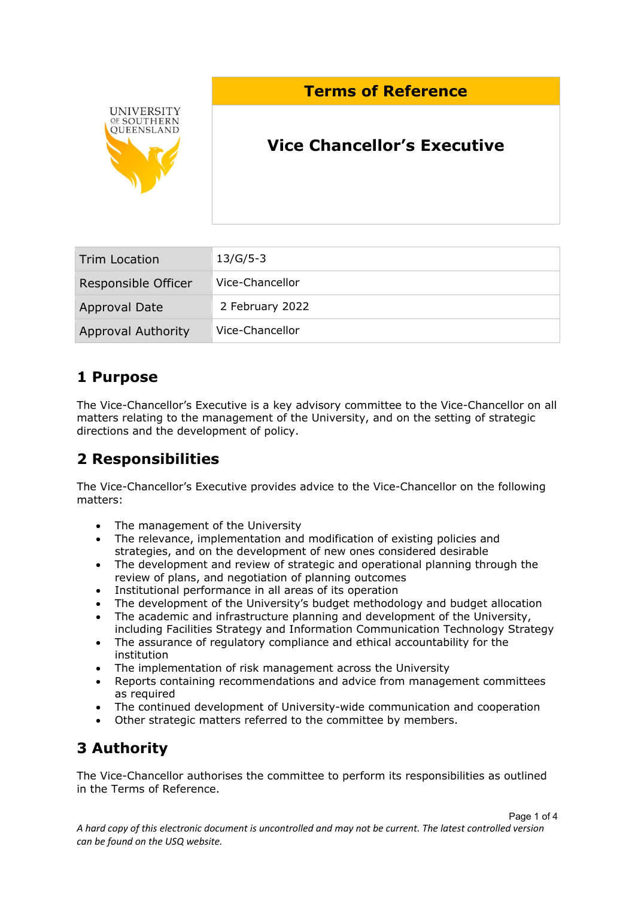### **Terms of Reference**



# **Vice Chancellor's Executive**

| Trim Location             | $13/G/5-3$      |
|---------------------------|-----------------|
| Responsible Officer       | Vice-Chancellor |
| Approval Date             | 2 February 2022 |
| <b>Approval Authority</b> | Vice-Chancellor |

### **1 Purpose**

The Vice-Chancellor's Executive is a key advisory committee to the Vice-Chancellor on all matters relating to the management of the University, and on the setting of strategic directions and the development of policy.

## **2 Responsibilities**

The Vice-Chancellor's Executive provides advice to the Vice-Chancellor on the following matters:

- The management of the University
- The relevance, implementation and modification of existing policies and strategies, and on the development of new ones considered desirable
- The development and review of strategic and operational planning through the review of plans, and negotiation of planning outcomes
- Institutional performance in all areas of its operation
- The development of the University's budget methodology and budget allocation
- The academic and infrastructure planning and development of the University, including Facilities Strategy and Information Communication Technology Strategy
- The assurance of regulatory compliance and ethical accountability for the institution
- The implementation of risk management across the University
- Reports containing recommendations and advice from management committees as required
- The continued development of University-wide communication and cooperation
- Other strategic matters referred to the committee by members.

## **3 Authority**

The Vice-Chancellor authorises the committee to perform its responsibilities as outlined in the Terms of Reference.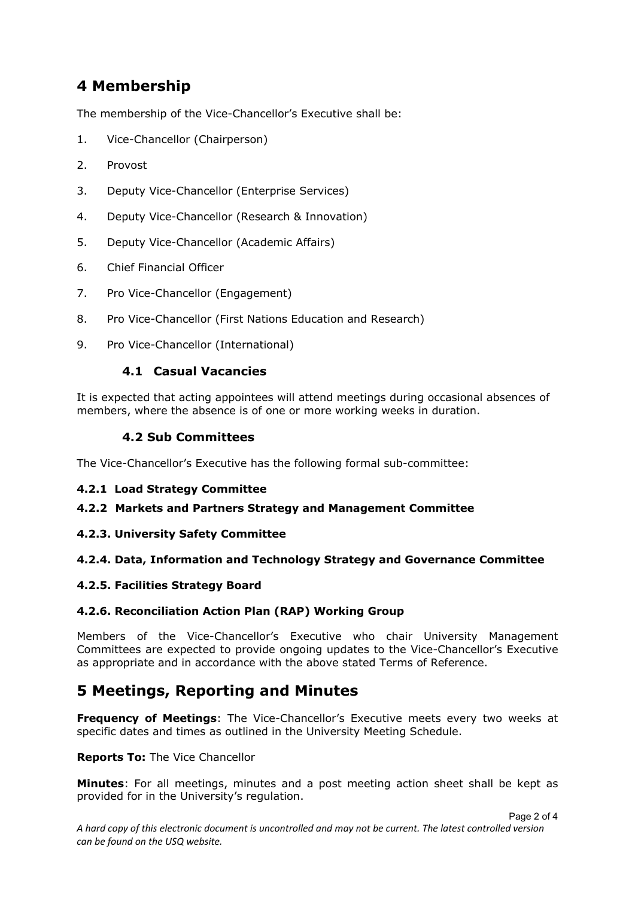### **4 Membership**

The membership of the Vice-Chancellor's Executive shall be:

- 1. Vice-Chancellor (Chairperson)
- 2. Provost
- 3. Deputy Vice-Chancellor (Enterprise Services)
- 4. Deputy Vice-Chancellor (Research & Innovation)
- 5. Deputy Vice-Chancellor (Academic Affairs)
- 6. Chief Financial Officer
- 7. Pro Vice-Chancellor (Engagement)
- 8. Pro Vice-Chancellor (First Nations Education and Research)
- 9. Pro Vice-Chancellor (International)

#### **4.1 Casual Vacancies**

It is expected that acting appointees will attend meetings during occasional absences of members, where the absence is of one or more working weeks in duration.

### **4.2 Sub Committees**

The Vice-Chancellor's Executive has the following formal sub-committee:

#### **4.2.1 Load Strategy Committee**

#### **4.2.2 Markets and Partners Strategy and Management Committee**

#### **4.2.3. University Safety Committee**

#### **4.2.4. Data, Information and Technology Strategy and Governance Committee**

#### **4.2.5. Facilities Strategy Board**

#### **4.2.6. Reconciliation Action Plan (RAP) Working Group**

Members of the Vice-Chancellor's Executive who chair University Management Committees are expected to provide ongoing updates to the Vice-Chancellor's Executive as appropriate and in accordance with the above stated Terms of Reference.

### **5 Meetings, Reporting and Minutes**

**Frequency of Meetings**: The Vice-Chancellor's Executive meets every two weeks at specific dates and times as outlined in the University Meeting Schedule.

**Reports To:** The Vice Chancellor

**Minutes**: For all meetings, minutes and a post meeting action sheet shall be kept as provided for in the University's regulation.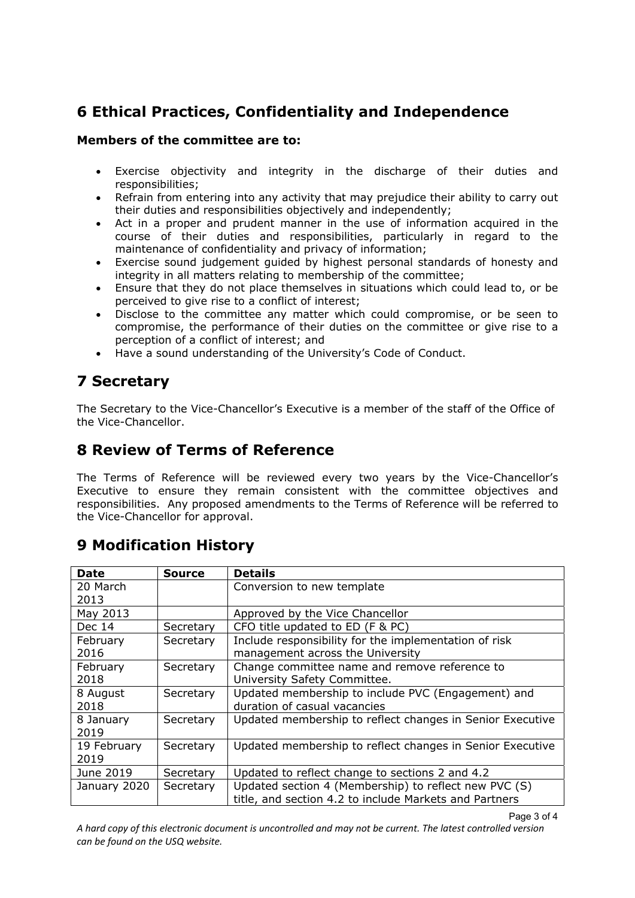# **6 Ethical Practices, Confidentiality and Independence**

### **Members of the committee are to:**

- Exercise objectivity and integrity in the discharge of their duties and responsibilities;
- Refrain from entering into any activity that may prejudice their ability to carry out their duties and responsibilities objectively and independently;
- Act in a proper and prudent manner in the use of information acquired in the course of their duties and responsibilities, particularly in regard to the maintenance of confidentiality and privacy of information;
- Exercise sound judgement guided by highest personal standards of honesty and integrity in all matters relating to membership of the committee;
- Ensure that they do not place themselves in situations which could lead to, or be perceived to give rise to a conflict of interest;
- Disclose to the committee any matter which could compromise, or be seen to compromise, the performance of their duties on the committee or give rise to a perception of a conflict of interest; and
- Have a sound understanding of the University's Code of Conduct.

## **7 Secretary**

The Secretary to the Vice-Chancellor's Executive is a member of the staff of the Office of the Vice-Chancellor.

### **8 Review of Terms of Reference**

The Terms of Reference will be reviewed every two years by the Vice-Chancellor's Executive to ensure they remain consistent with the committee objectives and responsibilities. Any proposed amendments to the Terms of Reference will be referred to the Vice-Chancellor for approval.

## **9 Modification History**

| Date         | Source    | <b>Details</b>                                            |
|--------------|-----------|-----------------------------------------------------------|
| 20 March     |           | Conversion to new template                                |
| 2013         |           |                                                           |
| May 2013     |           | Approved by the Vice Chancellor                           |
| Dec 14       | Secretary | CFO title updated to ED (F & PC)                          |
| February     | Secretary | Include responsibility for the implementation of risk     |
| 2016         |           | management across the University                          |
| February     | Secretary | Change committee name and remove reference to             |
| 2018         |           | University Safety Committee.                              |
| 8 August     | Secretary | Updated membership to include PVC (Engagement) and        |
| 2018         |           | duration of casual vacancies                              |
| 8 January    | Secretary | Updated membership to reflect changes in Senior Executive |
| 2019         |           |                                                           |
| 19 February  | Secretary | Updated membership to reflect changes in Senior Executive |
| 2019         |           |                                                           |
| June 2019    | Secretary | Updated to reflect change to sections 2 and 4.2           |
| January 2020 | Secretary | Updated section 4 (Membership) to reflect new PVC (S)     |
|              |           | title, and section 4.2 to include Markets and Partners    |

A hard copy of this electronic document is uncontrolled and may not be current. The latest controlled version *can be found on the USQ website.*

Page 3 of 4